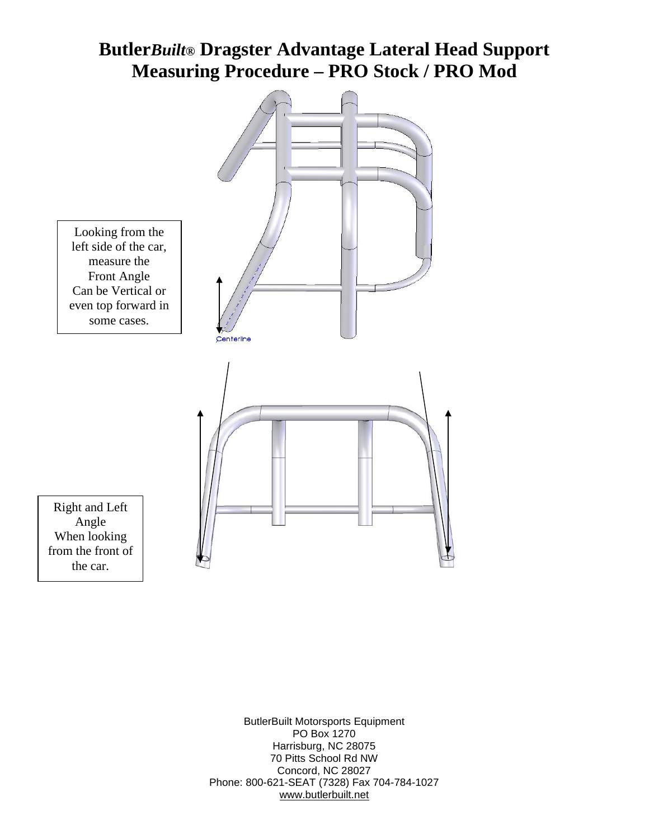## **Butler***Built®* **Dragster Advantage Lateral Head Support Measuring Procedure – PRO Stock / PRO Mod**



ButlerBuilt Motorsports Equipment PO Box 1270 Harrisburg, NC 28075 70 Pitts School Rd NW Concord, NC 28027 Phone: 800-621-SEAT (7328) Fax 704-784-1027 [www.butlerbuilt.net](http://www.butlerbuilt.net/)